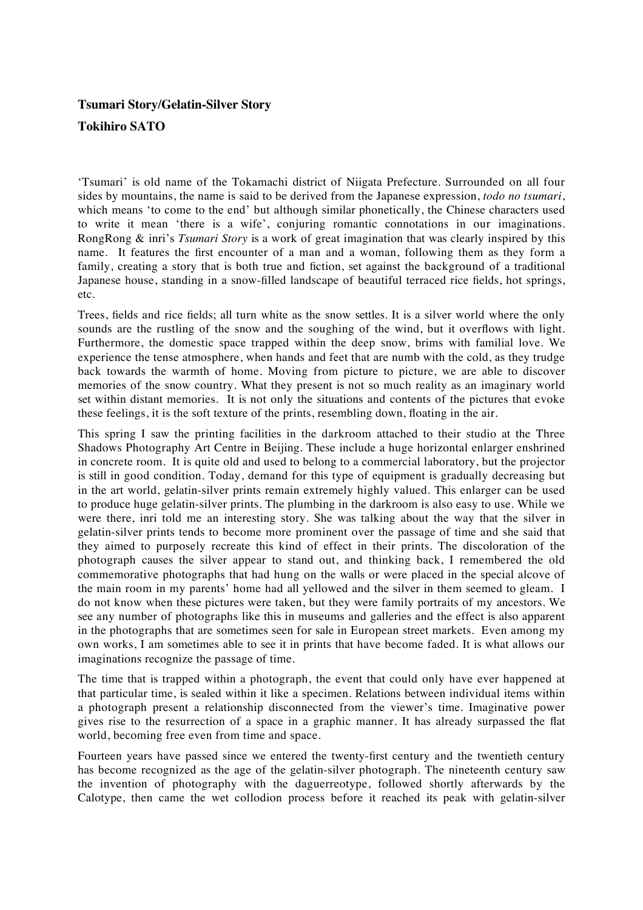## **Tsumari Story/Gelatin-Silver Story Tokihiro SATO**

'Tsumari' is old name of the Tokamachi district of Niigata Prefecture. Surrounded on all four sides by mountains, the name is said to be derived from the Japanese expression, *todo no tsumari*, which means 'to come to the end' but although similar phonetically, the Chinese characters used to write it mean 'there is a wife', conjuring romantic connotations in our imaginations. RongRong & inri's *Tsumari Story* is a work of great imagination that was clearly inspired by this name. It features the first encounter of a man and a woman, following them as they form a family, creating a story that is both true and fiction, set against the background of a traditional Japanese house, standing in a snow-filled landscape of beautiful terraced rice fields, hot springs, etc.

Trees, fields and rice fields; all turn white as the snow settles. It is a silver world where the only sounds are the rustling of the snow and the soughing of the wind, but it overflows with light. Furthermore, the domestic space trapped within the deep snow, brims with familial love. We experience the tense atmosphere, when hands and feet that are numb with the cold, as they trudge back towards the warmth of home. Moving from picture to picture, we are able to discover memories of the snow country. What they present is not so much reality as an imaginary world set within distant memories. It is not only the situations and contents of the pictures that evoke these feelings, it is the soft texture of the prints, resembling down, floating in the air.

This spring I saw the printing facilities in the darkroom attached to their studio at the Three Shadows Photography Art Centre in Beijing. These include a huge horizontal enlarger enshrined in concrete room. It is quite old and used to belong to a commercial laboratory, but the projector is still in good condition. Today, demand for this type of equipment is gradually decreasing but in the art world, gelatin-silver prints remain extremely highly valued. This enlarger can be used to produce huge gelatin-silver prints. The plumbing in the darkroom is also easy to use. While we were there, inri told me an interesting story. She was talking about the way that the silver in gelatin-silver prints tends to become more prominent over the passage of time and she said that they aimed to purposely recreate this kind of effect in their prints. The discoloration of the photograph causes the silver appear to stand out, and thinking back, I remembered the old commemorative photographs that had hung on the walls or were placed in the special alcove of the main room in my parents' home had all yellowed and the silver in them seemed to gleam. I do not know when these pictures were taken, but they were family portraits of my ancestors. We see any number of photographs like this in museums and galleries and the effect is also apparent in the photographs that are sometimes seen for sale in European street markets. Even among my own works, I am sometimes able to see it in prints that have become faded. It is what allows our imaginations recognize the passage of time.

The time that is trapped within a photograph, the event that could only have ever happened at that particular time, is sealed within it like a specimen. Relations between individual items within a photograph present a relationship disconnected from the viewer's time. Imaginative power gives rise to the resurrection of a space in a graphic manner. It has already surpassed the flat world, becoming free even from time and space.

Fourteen years have passed since we entered the twenty-first century and the twentieth century has become recognized as the age of the gelatin-silver photograph. The nineteenth century saw the invention of photography with the daguerreotype, followed shortly afterwards by the Calotype, then came the wet collodion process before it reached its peak with gelatin-silver